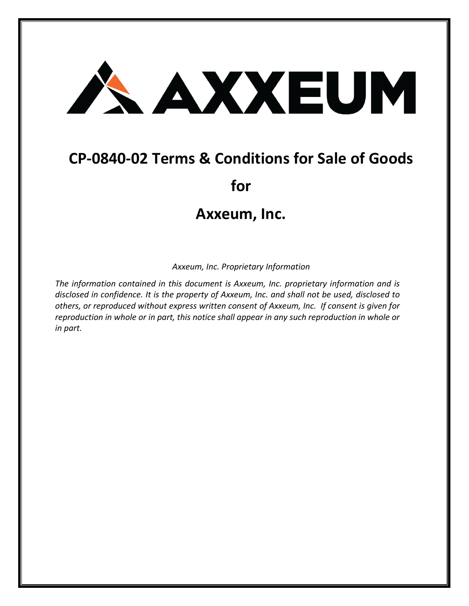## AXXEUM

## **CP-0840-02 Terms & Conditions for Sale of Goods**

**for**

## **Axxeum, Inc.**

*Axxeum, Inc. Proprietary Information*

*The information contained in this document is Axxeum, Inc. proprietary information and is disclosed in confidence. It is the property of Axxeum, Inc. and shall not be used, disclosed to others, or reproduced without express written consent of Axxeum, Inc. If consent is given for reproduction in whole or in part, this notice shall appear in any such reproduction in whole or in part.*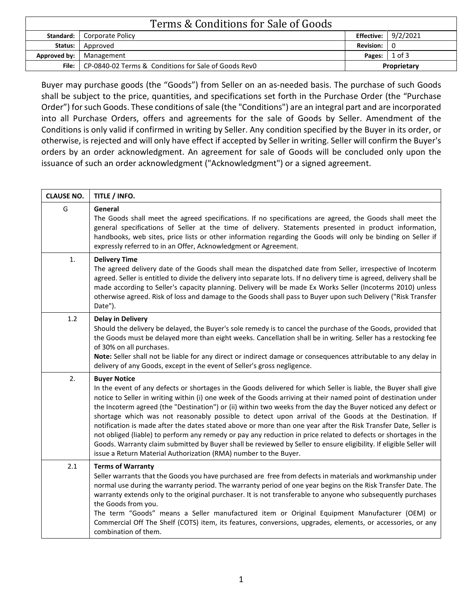|              | Terms & Conditions for Sale of Goods                                |                       |                            |
|--------------|---------------------------------------------------------------------|-----------------------|----------------------------|
|              | Standard:   Corporate Policy                                        |                       | <b>Effective:</b> 9/2/2021 |
| Status:      | Approved                                                            | Revision: $ 0\rangle$ |                            |
| Approved by: | Management                                                          | Pages: $\vert$ 1 of 3 |                            |
|              | <b>File:</b>   CP-0840-02 Terms & Conditions for Sale of Goods RevO |                       | Proprietary                |

Buyer may purchase goods (the "Goods") from Seller on an as-needed basis. The purchase of such Goods shall be subject to the price, quantities, and specifications set forth in the Purchase Order (the "Purchase Order") for such Goods. These conditions of sale (the "Conditions") are an integral part and are incorporated into all Purchase Orders, offers and agreements for the sale of Goods by Seller. Amendment of the Conditions is only valid if confirmed in writing by Seller. Any condition specified by the Buyer in its order, or otherwise, is rejected and will only have effect if accepted by Seller in writing. Seller will confirm the Buyer's orders by an order acknowledgment. An agreement for sale of Goods will be concluded only upon the issuance of such an order acknowledgment ("Acknowledgment") or a signed agreement.

| <b>CLAUSE NO.</b> | TITLE / INFO.                                                                                                                                                                                                                                                                                                                                                                                                                                                                                                                                                                                                                                                                                                                                                                                                                                                                                                         |
|-------------------|-----------------------------------------------------------------------------------------------------------------------------------------------------------------------------------------------------------------------------------------------------------------------------------------------------------------------------------------------------------------------------------------------------------------------------------------------------------------------------------------------------------------------------------------------------------------------------------------------------------------------------------------------------------------------------------------------------------------------------------------------------------------------------------------------------------------------------------------------------------------------------------------------------------------------|
| G                 | General<br>The Goods shall meet the agreed specifications. If no specifications are agreed, the Goods shall meet the<br>general specifications of Seller at the time of delivery. Statements presented in product information,<br>handbooks, web sites, price lists or other information regarding the Goods will only be binding on Seller if<br>expressly referred to in an Offer, Acknowledgment or Agreement.                                                                                                                                                                                                                                                                                                                                                                                                                                                                                                     |
| 1.                | <b>Delivery Time</b><br>The agreed delivery date of the Goods shall mean the dispatched date from Seller, irrespective of Incoterm<br>agreed. Seller is entitled to divide the delivery into separate lots. If no delivery time is agreed, delivery shall be<br>made according to Seller's capacity planning. Delivery will be made Ex Works Seller (Incoterms 2010) unless<br>otherwise agreed. Risk of loss and damage to the Goods shall pass to Buyer upon such Delivery ("Risk Transfer<br>Date").                                                                                                                                                                                                                                                                                                                                                                                                               |
| 1.2               | <b>Delay in Delivery</b><br>Should the delivery be delayed, the Buyer's sole remedy is to cancel the purchase of the Goods, provided that<br>the Goods must be delayed more than eight weeks. Cancellation shall be in writing. Seller has a restocking fee<br>of 30% on all purchases.<br>Note: Seller shall not be liable for any direct or indirect damage or consequences attributable to any delay in<br>delivery of any Goods, except in the event of Seller's gross negligence.                                                                                                                                                                                                                                                                                                                                                                                                                                |
| 2.                | <b>Buyer Notice</b><br>In the event of any defects or shortages in the Goods delivered for which Seller is liable, the Buyer shall give<br>notice to Seller in writing within (i) one week of the Goods arriving at their named point of destination under<br>the Incoterm agreed (the "Destination") or (ii) within two weeks from the day the Buyer noticed any defect or<br>shortage which was not reasonably possible to detect upon arrival of the Goods at the Destination. If<br>notification is made after the dates stated above or more than one year after the Risk Transfer Date, Seller is<br>not obliged (liable) to perform any remedy or pay any reduction in price related to defects or shortages in the<br>Goods. Warranty claim submitted by Buyer shall be reviewed by Seller to ensure eligibility. If eligible Seller will<br>issue a Return Material Authorization (RMA) number to the Buyer. |
| 2.1               | <b>Terms of Warranty</b><br>Seller warrants that the Goods you have purchased are free from defects in materials and workmanship under<br>normal use during the warranty period. The warranty period of one year begins on the Risk Transfer Date. The<br>warranty extends only to the original purchaser. It is not transferable to anyone who subsequently purchases<br>the Goods from you.<br>The term "Goods" means a Seller manufactured item or Original Equipment Manufacturer (OEM) or<br>Commercial Off The Shelf (COTS) item, its features, conversions, upgrades, elements, or accessories, or any<br>combination of them.                                                                                                                                                                                                                                                                                 |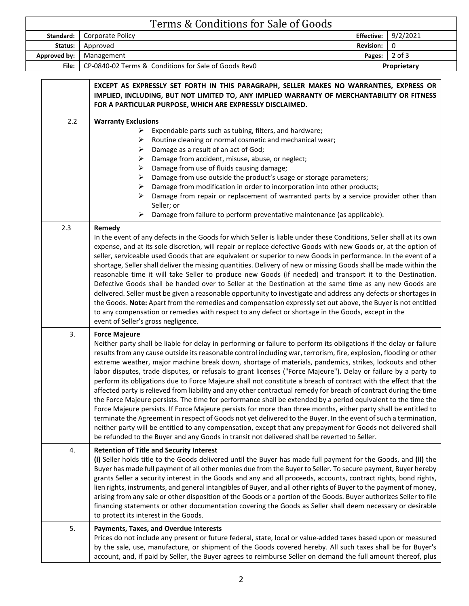|              | Terms & Conditions for Sale of Goods                                |                       |                       |
|--------------|---------------------------------------------------------------------|-----------------------|-----------------------|
|              | <b>Standard:</b>   Corporate Policy                                 |                       | Effective: $9/2/2021$ |
| Status:      | Approved                                                            | Revision: I           |                       |
| Approved by: | Management                                                          | Pages: $\vert$ 2 of 3 |                       |
|              | <b>File:</b>   CP-0840-02 Terms & Conditions for Sale of Goods RevO |                       | Proprietary           |

|     | EXCEPT AS EXPRESSLY SET FORTH IN THIS PARAGRAPH, SELLER MAKES NO WARRANTIES, EXPRESS OR<br>IMPLIED, INCLUDING, BUT NOT LIMITED TO, ANY IMPLIED WARRANTY OF MERCHANTABILITY OR FITNESS<br>FOR A PARTICULAR PURPOSE, WHICH ARE EXPRESSLY DISCLAIMED.                                                                                                                                                                                                                                                                                                                                                                                                                                                                                                                                                                                                                                                                                                                                                                                                                                                                                                                                                                                                                                                              |
|-----|-----------------------------------------------------------------------------------------------------------------------------------------------------------------------------------------------------------------------------------------------------------------------------------------------------------------------------------------------------------------------------------------------------------------------------------------------------------------------------------------------------------------------------------------------------------------------------------------------------------------------------------------------------------------------------------------------------------------------------------------------------------------------------------------------------------------------------------------------------------------------------------------------------------------------------------------------------------------------------------------------------------------------------------------------------------------------------------------------------------------------------------------------------------------------------------------------------------------------------------------------------------------------------------------------------------------|
| 2.2 | <b>Warranty Exclusions</b><br>Expendable parts such as tubing, filters, and hardware;<br>➤<br>Routine cleaning or normal cosmetic and mechanical wear;<br>➤<br>Damage as a result of an act of God;<br>➤<br>Damage from accident, misuse, abuse, or neglect;<br>➤<br>Damage from use of fluids causing damage;<br>➤<br>Damage from use outside the product's usage or storage parameters;<br>➤<br>Damage from modification in order to incorporation into other products;<br>➤<br>Damage from repair or replacement of warranted parts by a service provider other than<br>⋗<br>Seller; or<br>➤<br>Damage from failure to perform preventative maintenance (as applicable).                                                                                                                                                                                                                                                                                                                                                                                                                                                                                                                                                                                                                                     |
| 2.3 | Remedy<br>In the event of any defects in the Goods for which Seller is liable under these Conditions, Seller shall at its own<br>expense, and at its sole discretion, will repair or replace defective Goods with new Goods or, at the option of<br>seller, serviceable used Goods that are equivalent or superior to new Goods in performance. In the event of a<br>shortage, Seller shall deliver the missing quantities. Delivery of new or missing Goods shall be made within the<br>reasonable time it will take Seller to produce new Goods (if needed) and transport it to the Destination.<br>Defective Goods shall be handed over to Seller at the Destination at the same time as any new Goods are<br>delivered. Seller must be given a reasonable opportunity to investigate and address any defects or shortages in<br>the Goods. Note: Apart from the remedies and compensation expressly set out above, the Buyer is not entitled<br>to any compensation or remedies with respect to any defect or shortage in the Goods, except in the<br>event of Seller's gross negligence.                                                                                                                                                                                                                   |
| 3.  | <b>Force Majeure</b><br>Neither party shall be liable for delay in performing or failure to perform its obligations if the delay or failure<br>results from any cause outside its reasonable control including war, terrorism, fire, explosion, flooding or other<br>extreme weather, major machine break down, shortage of materials, pandemics, strikes, lockouts and other<br>labor disputes, trade disputes, or refusals to grant licenses ("Force Majeure"). Delay or failure by a party to<br>perform its obligations due to Force Majeure shall not constitute a breach of contract with the effect that the<br>affected party is relieved from liability and any other contractual remedy for breach of contract during the time<br>the Force Majeure persists. The time for performance shall be extended by a period equivalent to the time the<br>Force Majeure persists. If Force Majeure persists for more than three months, either party shall be entitled to<br>terminate the Agreement in respect of Goods not yet delivered to the Buyer. In the event of such a termination,<br>neither party will be entitled to any compensation, except that any prepayment for Goods not delivered shall<br>be refunded to the Buyer and any Goods in transit not delivered shall be reverted to Seller. |
| 4.  | <b>Retention of Title and Security Interest</b><br>(i) Seller holds title to the Goods delivered until the Buyer has made full payment for the Goods, and (ii) the<br>Buyer has made full payment of all other monies due from the Buyer to Seller. To secure payment, Buyer hereby<br>grants Seller a security interest in the Goods and any and all proceeds, accounts, contract rights, bond rights,<br>lien rights, instruments, and general intangibles of Buyer, and all other rights of Buyer to the payment of money,<br>arising from any sale or other disposition of the Goods or a portion of the Goods. Buyer authorizes Seller to file<br>financing statements or other documentation covering the Goods as Seller shall deem necessary or desirable<br>to protect its interest in the Goods.                                                                                                                                                                                                                                                                                                                                                                                                                                                                                                      |
| 5.  | Payments, Taxes, and Overdue Interests<br>Prices do not include any present or future federal, state, local or value-added taxes based upon or measured<br>by the sale, use, manufacture, or shipment of the Goods covered hereby. All such taxes shall be for Buyer's<br>account, and, if paid by Seller, the Buyer agrees to reimburse Seller on demand the full amount thereof, plus                                                                                                                                                                                                                                                                                                                                                                                                                                                                                                                                                                                                                                                                                                                                                                                                                                                                                                                         |